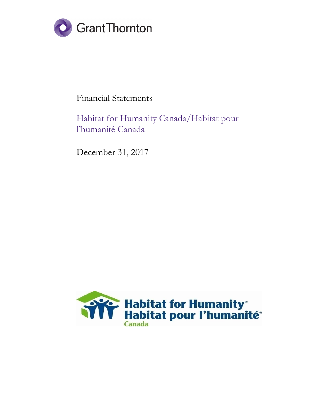

## Financial Statements

## Habitat for Humanity Canada/Habitat pour l'humanité Canada

December 31, 2017

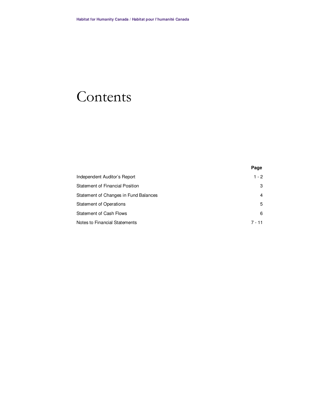# Contents

|                                       | Page    |
|---------------------------------------|---------|
| Independent Auditor's Report          | $1 - 2$ |
| Statement of Financial Position       | 3       |
| Statement of Changes in Fund Balances | 4       |
| <b>Statement of Operations</b>        | 5       |
| <b>Statement of Cash Flows</b>        | 6       |
| Notes to Financial Statements         | 7 - 11  |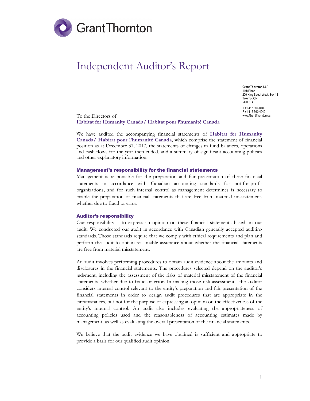

## Independent Auditor's Report

Grant Thornton LLP 11th Floor 200 King Street West, Box 11 Toronto, ON M5H 3T4 T +1 416 366 0100 F +1 416 360 4949 www.GrantThornton.ca

To the Directors of Habitat for Humanity Canada/ Habitat pour l'humanité Canada

We have audited the accompanying financial statements of Habitat for Humanity Canada/ Habitat pour l'humanité Canada, which comprise the statement of financial position as at December 31, 2017, the statements of changes in fund balances, operations and cash flows for the year then ended, and a summary of significant accounting policies and other explanatory information.

#### Management's responsibility for the financial statements

Management is responsible for the preparation and fair presentation of these financial statements in accordance with Canadian accounting standards for not-for-profit organizations, and for such internal control as management determines is necessary to enable the preparation of financial statements that are free from material misstatement, whether due to fraud or error.

#### Auditor's responsibility

Our responsibility is to express an opinion on these financial statements based on our audit. We conducted our audit in accordance with Canadian generally accepted auditing standards. Those standards require that we comply with ethical requirements and plan and perform the audit to obtain reasonable assurance about whether the financial statements are free from material misstatement.

An audit involves performing procedures to obtain audit evidence about the amounts and disclosures in the financial statements. The procedures selected depend on the auditor's judgment, including the assessment of the risks of material misstatement of the financial statements, whether due to fraud or error. In making those risk assessments, the auditor considers internal control relevant to the entity's preparation and fair presentation of the financial statements in order to design audit procedures that are appropriate in the circumstances, but not for the purpose of expressing an opinion on the effectiveness of the entity's internal control. An audit also includes evaluating the appropriateness of accounting policies used and the reasonableness of accounting estimates made by management, as well as evaluating the overall presentation of the financial statements.

We believe that the audit evidence we have obtained is sufficient and appropriate to provide a basis for our qualified audit opinion.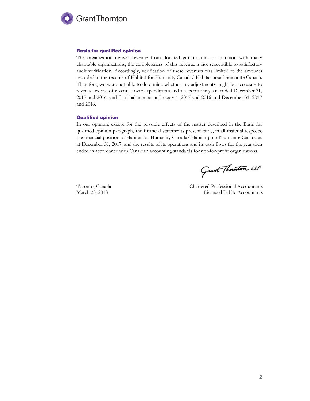

#### Basis for qualified opinion

The organization derives revenue from donated gifts-in-kind. In common with many charitable organizations, the completeness of this revenue is not susceptible to satisfactory audit verification. Accordingly, verification of these revenues was limited to the amounts recorded in the records of Habitat for Humanity Canada/ Habitat pour l'humanité Canada. Therefore, we were not able to determine whether any adjustments might be necessary to revenue, excess of revenues over expenditures and assets for the years ended December 31, 2017 and 2016, and fund balances as at January 1, 2017 and 2016 and December 31, 2017 and 2016.

#### Qualified opinion

In our opinion, except for the possible effects of the matter described in the Basis for qualified opinion paragraph, the financial statements present fairly, in all material respects, the financial position of Habitat for Humanity Canada/ Habitat pour l'humanité Canada as at December 31, 2017, and the results of its operations and its cash flows for the year then ended in accordance with Canadian accounting standards for not-for-profit organizations.

Grant Thouston LLP

Toronto, Canada Chartered Professional Accountants March 28, 2018 **Licensed Public Accountants**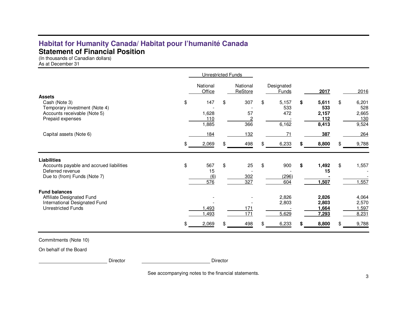## **Habitat for Humanity Canada/ Habitat pour l'humanité Canada Statement of Financial Position**

(In thousands of Canadian dollars)

As at December 31

|                                                                                                                    | <b>Unrestricted Funds</b> |                              |    |                                                 |     |                                  |                                             |                                                    |
|--------------------------------------------------------------------------------------------------------------------|---------------------------|------------------------------|----|-------------------------------------------------|-----|----------------------------------|---------------------------------------------|----------------------------------------------------|
| <b>Assets</b>                                                                                                      |                           | National<br>Office           |    | National<br>ReStore                             |     | Designated<br>Funds              | 2017                                        | 2016                                               |
| Cash (Note 3)<br>Temporary investment (Note 4)<br>Accounts receivable (Note 5)<br>Prepaid expenses                 | \$                        | 147<br>1,628<br>110<br>1,885 | \$ | 307<br>57<br>$\overline{2}$<br>$\overline{366}$ | \$  | 5,157<br>533<br>472<br>6,162     | \$<br>5,611<br>533<br>2,157<br>112<br>8,413 | \$<br>6,201<br>528<br>2,665<br><u>130</u><br>9,524 |
| Capital assets (Note 6)                                                                                            | \$                        | 184<br>2,069                 | \$ | <u>132</u><br>498                               | \$. | 71<br>6,233                      | 387<br>8,800                                | \$<br>264<br>9,788                                 |
| <b>Liabilities</b><br>Accounts payable and accrued liabilities<br>Deferred revenue<br>Due to (from) Funds (Note 7) | \$                        | 567<br>15<br>(6)<br>576      | \$ | 25<br>302<br>327                                | \$  | 900<br>(296)<br>604              | \$<br>1,492<br>15<br>1,507                  | \$<br>1,557<br>,557                                |
| <b>Fund balances</b><br>Affiliate Designated Fund<br>International Designated Fund<br><b>Unrestricted Funds</b>    | \$                        | .493<br>,493<br>2,069        | \$ | 171<br>171<br>498                               |     | 2,826<br>2,803<br>5,629<br>6,233 | 2,826<br>2,803<br>1,664<br>7,293<br>8,800   | \$<br>4,064<br>2,570<br>.597<br>8,231<br>9,788     |

Commitments (Note 10)

On behalf of the Board

Director **Director** Director

See accompanying notes to the financial statements.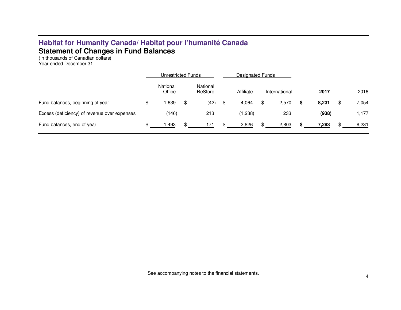## **Habitat for Humanity Canada/ Habitat pour l'humanité Canada Statement of Changes in Fund Balances**  (In thousands of Canadian dollars)

Year ended December 31

|                                              | Unrestricted Funds |    |                     | Designated Funds |           |    |               |   |       |             |
|----------------------------------------------|--------------------|----|---------------------|------------------|-----------|----|---------------|---|-------|-------------|
|                                              | National<br>Office |    | National<br>ReStore |                  | Affiliate |    | International |   | 2017  | 2016        |
| Fund balances, beginning of year             | \$<br>,639         | \$ | (42)                | \$               | 4,064     | \$ | 2,570         | S | 8,231 | \$<br>7,054 |
| Excess (deficiency) of revenue over expenses | (146)              |    | 213                 |                  | (1,238)   |    | <u>233</u>    |   | (938) | l.177       |
| Fund balances, end of year                   | ,493               |    |                     |                  | 2,826     |    | 2,803         |   | 7,293 | 8,231       |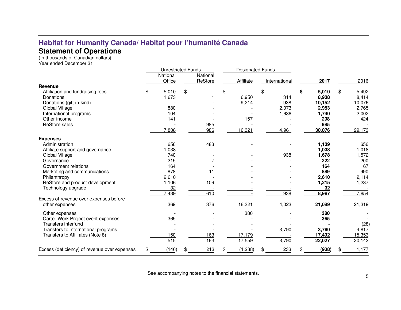## **Statement of Operations**  (In thousands of Canadian dollars)

Year ended December 31

|                                              | <b>Unrestricted Funds</b> |          | <b>Designated Funds</b> |    |               |             |             |
|----------------------------------------------|---------------------------|----------|-------------------------|----|---------------|-------------|-------------|
|                                              | National                  | National |                         |    |               |             |             |
|                                              | Office                    | ReStore  | Affiliate               |    | International | 2017        | 2016        |
| Revenue                                      |                           |          |                         |    |               |             |             |
| Affiliation and fundraising fees             | \$<br>5,010               | \$       | \$                      | \$ |               | \$<br>5,010 | \$<br>5,492 |
| Donations                                    | 1,673                     |          | 6,950                   |    | 314           | 8,938       | 8,414       |
| Donations (gift-in-kind)                     |                           |          | 9,214                   |    | 938           | 10,152      | 10,076      |
| Global Village                               | 880                       |          |                         |    | 2,073         | 2,953       | 2,765       |
| International programs                       | 104                       |          |                         |    | 1,636         | 1,740       | 2,002       |
| Other income                                 | 141                       |          | 157                     |    |               | 298         | 424         |
| <b>ReStore sales</b>                         |                           | 985      |                         |    |               | 985         |             |
|                                              | 7,808                     | 986      | 16,321                  |    | 4,961         | 30,076      | 29,173      |
| <b>Expenses</b>                              |                           |          |                         |    |               |             |             |
| Administration                               | 656                       | 483      |                         |    |               | 1,139       | 656         |
| Affiliate support and governance             | 1,038                     |          |                         |    |               | 1,038       | 1,018       |
| Global Village                               | 740                       |          |                         |    | 938           | 1,678       | 1,572       |
| Governance                                   | 215                       |          |                         |    |               | 222         | 200         |
| Government relations                         | 164                       |          |                         |    |               | 164         | 67          |
| Marketing and communications                 | 878                       | 11       |                         |    |               | 889         | 990         |
| Philanthropy                                 | 2,610                     |          |                         |    |               | 2,610       | 2,114       |
| ReStore and product development              | 1,106                     | 109      |                         |    |               | 1,215       | 1,237       |
| Technology upgrade                           | 32                        |          |                         |    |               | 32          |             |
|                                              | 7,439                     | 610      |                         |    | 938           | 8,987       | 7,854       |
| Excess of revenue over expenses before       |                           |          |                         |    |               |             |             |
| other expenses                               | 369                       | 376      | 16,321                  |    | 4,023         | 21,089      | 21,319      |
| Other expenses                               |                           |          | 380                     |    |               | 380         |             |
| Carter Work Project event expenses           | 365                       |          |                         |    |               | 365         |             |
| Transfers interfund                          |                           |          |                         |    |               |             | (28)        |
| Transfers to international programs          |                           |          |                         |    | 3,790         | 3,790       | 4,817       |
| Transfers to Affiliates (Note 8)             | 150                       | 163      | 17,179                  |    |               | 17,492      | 15,353      |
|                                              | 515                       | 163      | 17,559                  |    | 3,790         | 22,027      | 20,142      |
| Excess (deficiency) of revenue over expenses | \$<br>(146)               | 213      | (1,238)                 |    | 233           | (938)       | 1,177       |

See accompanying notes to the financial statements.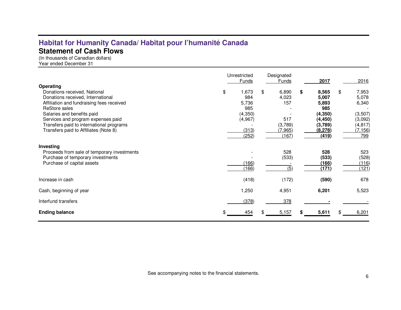## **Habitat for Humanity Canada/ Habitat pour l'humanité Canada Statement of Cash Flows**

(In thousands of Canadian dollars) Year ended December 31

| Operating<br>Donations received, National<br>Donations received, International<br>Affiliation and fundraising fees received<br>ReStore sales<br>Salaries and benefits paid<br>Services and program expenses paid<br>Transfers paid to international programs<br>Transfers paid to Affiliates (Note 8) | \$<br>Unrestricted<br>Funds<br>1,673<br>984<br>5,736<br>985<br>(4,350)<br>(4,967)<br>(313) | \$<br>Designated<br>Funds<br>6,890<br>4,023<br>157<br>517<br>(3,789)<br>(7, 965) | \$<br>2017<br>8,565<br>5,007<br>5,893<br>985<br>(4, 350)<br>(4, 450)<br>(3,789)<br>(8,278) | \$<br>2016<br>7,953<br>5,078<br>6,340<br>(3, 507)<br>(3,092)<br>(4, 817)<br>(7, 156) |
|-------------------------------------------------------------------------------------------------------------------------------------------------------------------------------------------------------------------------------------------------------------------------------------------------------|--------------------------------------------------------------------------------------------|----------------------------------------------------------------------------------|--------------------------------------------------------------------------------------------|--------------------------------------------------------------------------------------|
| Investing<br>Proceeds from sale of temporary investments<br>Purchase of temporary investments<br>Purchase of capital assets                                                                                                                                                                           | (252)<br>(166)<br>(166)                                                                    | (167)<br>528<br>(533)<br>(5)                                                     | (419)<br>528<br>(533)<br><u>(166)</u><br>(171)                                             | 799<br>523<br>(528)<br>(116)<br>(121)                                                |
| Increase in cash                                                                                                                                                                                                                                                                                      | (418)                                                                                      | (172)                                                                            | (590)                                                                                      | 678                                                                                  |
| Cash, beginning of year                                                                                                                                                                                                                                                                               | 1,250                                                                                      | 4,951                                                                            | 6,201                                                                                      | 5,523                                                                                |
| Interfund transfers                                                                                                                                                                                                                                                                                   | (378)                                                                                      | 378                                                                              |                                                                                            |                                                                                      |
| <b>Ending balance</b>                                                                                                                                                                                                                                                                                 | 454                                                                                        | 5,157                                                                            | 5,611                                                                                      | 6,201                                                                                |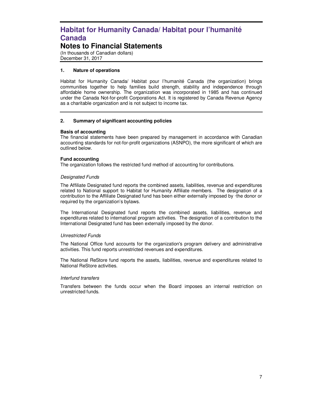### **Notes to Financial Statements**

(In thousands of Canadian dollars) December 31, 2017

#### **1. Nature of operations**

Habitat for Humanity Canada/ Habitat pour l'humanité Canada (the organization) brings communities together to help families build strength, stability and independence through affordable home ownership. The organization was incorporated in 1985 and has continued under the Canada Not-for-profit Corporations Act. It is registered by Canada Revenue Agency as a charitable organization and is not subject to income tax.

#### **2. Summary of significant accounting policies**

#### **Basis of accounting**

The financial statements have been prepared by management in accordance with Canadian accounting standards for not-for-profit organizations (ASNPO), the more significant of which are outlined below.

#### **Fund accounting**

The organization follows the restricted fund method of accounting for contributions.

#### Designated Funds

The Affiliate Designated fund reports the combined assets, liabilities, revenue and expenditures related to National support to Habitat for Humanity Affiliate members. The designation of a contribution to the Affiliate Designated fund has been either externally imposed by ·the donor or required by the organization's bylaws.

The International Designated fund reports the combined assets, liabilities, revenue and expenditures related to international program activities. The designation of a contribution to the International Designated fund has been externally imposed by the donor.

#### Unrestricted Funds

The National Office fund accounts for the organization's program delivery and administrative activities. This fund reports unrestricted revenues and expenditures.

The National ReStore fund reports the assets, liabilities, revenue and expenditures related to National ReStore activities.

#### Interfund transfers

Transfers between the funds occur when the Board imposes an internal restriction on unrestricted funds.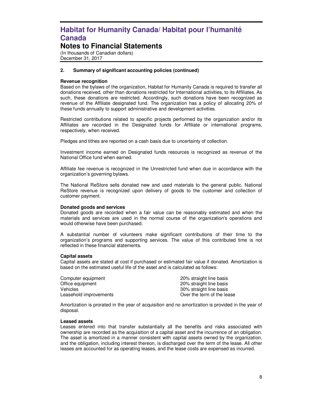### **Notes to Financial Statements**

(In thousands of Canadian dollars) December 31, 2017

#### **2. Summary of significant accounting policies (continued)**

#### **Revenue recognition**

Based on the bylaws of the organization, Habitat for Humanity Canada is required to transfer all donations received, other than donations restricted for International activities, to its Affiliates. As such, these donations are restricted. Accordingly, such donations have been recognized as revenue of the Affiliate designated fund. The organization has a policy of allocating 20% of these funds annually to support administrative and development activities.

Restricted contributions related to specific projects performed by the organization and/or its Affiliates are recorded in the Designated funds for Affiliate or international programs, respectively, when received.

Pledges and tithes are reported on a cash basis due to uncertainty of collection.

Investment income earned on Designated funds resources is recognized as revenue of the National Office fund when earned.

Affiliate fee revenue is recognized in the Unrestricted fund when due in accordance with the organization's governing bylaws.

The National ReStore sells donated new and used materials to the general public. National ReStore revenue is recognized upon delivery of goods to the customer and collection of customer payment.

#### **Donated goods and services**

Donated goods are recorded when a fair value can be reasonably estimated and when the materials and services are used in the normal course of the organization's operations and would otherwise have been purchased.

A substantial number of volunteers make significant contributions of their time to the organization's programs and supporting services. The value of this contributed time is not reflected in these financial statements.

#### **Capital assets**

Capital assets are stated at cost if purchased or estimated fair value if donated. Amortization is based on the estimated useful life of the asset and is calculated as follows:

| Computer equipment     | 20% straight line basis    |
|------------------------|----------------------------|
| Office equipment       | 20% straight line basis    |
| Vehicles               | 30% straight line basis    |
| Leasehold improvements | Over the term of the lease |
|                        |                            |

Amortization is prorated in the year of acquisition and no amortization is provided in the year of disposal.

#### **Leased assets**

Leases entered into that transfer substantially all the benefits and risks associated with ownership are recorded as the acquisition of a capital asset and the incurrence of an obligation. The asset is amortized in a manner consistent with capital assets owned by the organization, and the obligation, including interest thereon, is discharged over the term of the lease. All other leases are accounted for as operating leases, and the lease costs are expensed as incurred.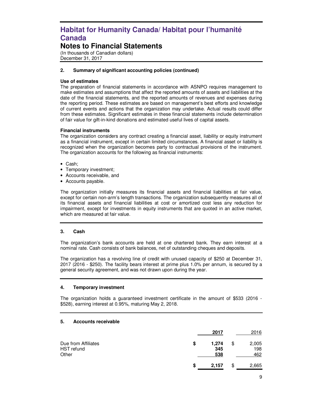### **Notes to Financial Statements**

(In thousands of Canadian dollars) December 31, 2017

#### **2. Summary of significant accounting policies (continued)**

#### **Use of estimates**

The preparation of financial statements in accordance with ASNPO requires management to make estimates and assumptions that affect the reported amounts of assets and liabilities at the date of the financial statements, and the reported amounts of revenues and expenses during the reporting period. These estimates are based on management's best efforts and knowledge of current events and actions that the organization may undertake. Actual results could differ from these estimates. Significant estimates in these financial statements include determination of fair value for gift-in-kind donations and estimated useful lives of capital assets.

#### **Financial instruments**

The organization considers any contract creating a financial asset, liability or equity instrument as a financial instrument, except in certain limited circumstances. A financial asset or liability is recognized when the organization becomes party to contractual provisions of the instrument. The organization accounts for the following as financial instruments:

- Cash;
- Temporary investment;
- Accounts receivable, and
- Accounts payable.

The organization initially measures its financial assets and financial liabilities at fair value, except for certain non-arm's length transactions. The organization subsequently measures all of its financial assets and financial liabilities at cost or amortized cost less any reduction for impairment, except for investments in equity instruments that are quoted in an active market, which are measured at fair value.

#### **3. Cash**

The organization's bank accounts are held at one chartered bank. They earn interest at a nominal rate. Cash consists of bank balances, net of outstanding cheques and deposits.

The organization has a revolving line of credit with unused capacity of \$250 at December 31, 2017 (2016 - \$250). The facility bears interest at prime plus 1.0% per annum, is secured by a general security agreement, and was not drawn upon during the year.

#### **4. Temporary investment**

The organization holds a guaranteed investment certificate in the amount of \$533 (2016 - \$528), earning interest at 0.95%, maturing May 2, 2018.

#### **5. Accounts receivable**

|                                            |    | 2017                | 2016                      |
|--------------------------------------------|----|---------------------|---------------------------|
| Due from Affiliates<br>HST refund<br>Other | \$ | 1,274<br>345<br>538 | \$<br>2,005<br>198<br>462 |
|                                            | S  | 2,157               | \$<br>2,665               |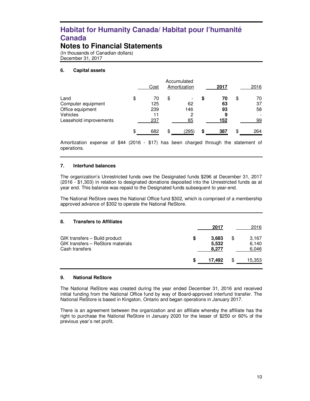### **Notes to Financial Statements**

(In thousands of Canadian dollars) December 31, 2017

#### **6. Capital assets**

|                                                                                      | Cost                                | Accumulated<br>Amortization                            |    | 2017                       |     | 2016                 |
|--------------------------------------------------------------------------------------|-------------------------------------|--------------------------------------------------------|----|----------------------------|-----|----------------------|
| Land<br>Computer equipment<br>Office equipment<br>Vehicles<br>Leasehold improvements | \$<br>70<br>125<br>239<br>11<br>237 | \$<br>$\overline{\phantom{a}}$<br>62<br>146<br>2<br>85 | S  | 70<br>63<br>93<br>9<br>152 | \$  | 70<br>37<br>58<br>99 |
|                                                                                      | \$<br>682                           | \$<br>(295)                                            | \$ | 387                        | \$. | 264                  |

Amortization expense of \$44 (2016 - \$17) has been charged through the statement of operations.

#### **7. Interfund balances**

The organization's Unrestricted funds owe the Designated funds \$296 at December 31, 2017 (2016 - \$1,303) in relation to designated donations deposited into the Unrestricted funds as at year end. This balance was repaid to the Designated funds subsequent to year-end.

The National ReStore owes the National Office fund \$302, which is comprised of a membership approved advance of \$302 to operate the National ReStore.

| 8.<br><b>Transfers to Affiliates</b>                                                 |   |                         |                               |
|--------------------------------------------------------------------------------------|---|-------------------------|-------------------------------|
|                                                                                      |   | 2017                    | 2016                          |
| GIK transfers - Build product<br>GIK transfers - ReStore materials<br>Cash transfers | S | 3,683<br>5,532<br>8,277 | \$<br>3.167<br>6,140<br>6,046 |
|                                                                                      | S | 17,492                  | \$<br>15,353                  |

#### **9. National ReStore**

The National ReStore was created during the year ended December 31, 2016 and received initial funding from the National Office fund by way of Board-approved interfund transfer. The National ReStore is based in Kingston, Ontario and began operations in January 2017.

There is an agreement between the organization and an affiliate whereby the affiliate has the right to purchase the National ReStore in January 2020 for the lesser of \$250 or 60% of the previous year's net profit.